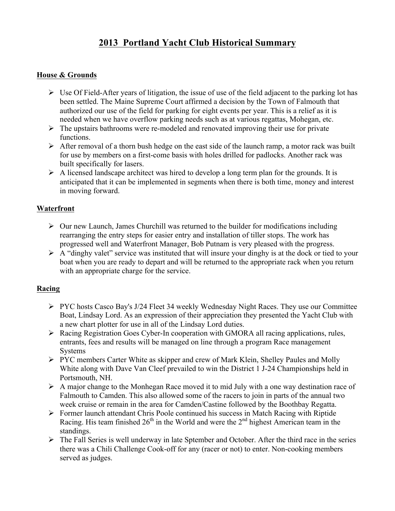# **2013 Portland Yacht Club Historical Summary**

## **House & Grounds**

- $\triangleright$  Use Of Field-After years of litigation, the issue of use of the field adjacent to the parking lot has been settled. The Maine Supreme Court affirmed a decision by the Town of Falmouth that authorized our use of the field for parking for eight events per year. This is a relief as it is needed when we have overflow parking needs such as at various regattas, Mohegan, etc.
- $\triangleright$  The upstairs bathrooms were re-modeled and renovated improving their use for private functions.
- $\triangleright$  After removal of a thorn bush hedge on the east side of the launch ramp, a motor rack was built for use by members on a first-come basis with holes drilled for padlocks. Another rack was built specifically for lasers.
- $\triangleright$  A licensed landscape architect was hired to develop a long term plan for the grounds. It is anticipated that it can be implemented in segments when there is both time, money and interest in moving forward.

#### **Waterfront**

- $\triangleright$  Our new Launch, James Churchill was returned to the builder for modifications including rearranging the entry steps for easier entry and installation of tiller stops. The work has progressed well and Waterfront Manager, Bob Putnam is very pleased with the progress.
- $\triangleright$  A "dinghy valet" service was instituted that will insure your dinghy is at the dock or tied to your boat when you are ready to depart and will be returned to the appropriate rack when you return with an appropriate charge for the service.

#### **Racing**

- $\triangleright$  PYC hosts Casco Bay's J/24 Fleet 34 weekly Wednesday Night Races. They use our Committee Boat, Lindsay Lord. As an expression of their appreciation they presented the Yacht Club with a new chart plotter for use in all of the Lindsay Lord duties.
- Racing Registration Goes Cyber-In cooperation with GMORA all racing applications, rules, entrants, fees and results will be managed on line through a program Race management Systems
- PYC members Carter White as skipper and crew of Mark Klein, Shelley Paules and Molly White along with Dave Van Cleef prevailed to win the District 1 J-24 Championships held in Portsmouth, NH.
- $\triangleright$  A major change to the Monhegan Race moved it to mid July with a one way destination race of Falmouth to Camden. This also allowed some of the racers to join in parts of the annual two week cruise or remain in the area for Camden/Castine followed by the Boothbay Regatta.
- $\triangleright$  Former launch attendant Chris Poole continued his success in Match Racing with Riptide Racing. His team finished  $26<sup>th</sup>$  in the World and were the  $2<sup>nd</sup>$  highest American team in the standings.
- $\triangleright$  The Fall Series is well underway in late Sptember and October. After the third race in the series there was a Chili Challenge Cook-off for any (racer or not) to enter. Non-cooking members served as judges.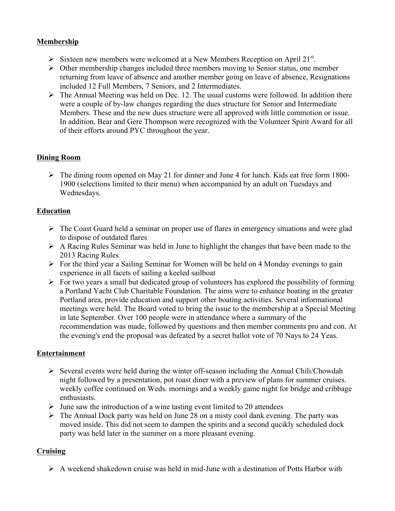# **Membership**

- Sixteen new members were welcomed at a New Members Reception on April 21<sup>st</sup>.
- $\triangleright$  Other membership changes included three members moving to Senior status, one member returning from leave of absence and another member going on leave of absence, Resignations included 12 Full Members, 7 Seniors, and 2 Intermediates.
- $\triangleright$  The Annual Meeting was held on Dec. 12. The usual customs were followed. In addition there were a couple of by-law changes regarding the dues structure for Senior and Intermediate Members. These and the new dues structure were all approved with little commotion or issue. In addition, Bear and Gere Thompson were recognized with the Volunteer Spirit Award for all of their efforts around PYC throughout the year.

#### **Dining Room**

 $\triangleright$  The dining room opened on May 21 for dinner and June 4 for lunch. Kids eat free form 1800-1900 (selections limited to their menu) when accompanied by an adult on Tuesdays and Wednesdays.

## **Education**

- $\triangleright$  The Coast Guard held a seminar on proper use of flares in emergency situations and were glad to dispose of outdated flares
- $\triangleright$  A Racing Rules Seminar was held in June to highlight the changes that have been made to the 2013 Racing Rules
- $\triangleright$  For the third year a Sailing Seminar for Women will be held on 4 Monday evenings to gain experience in all facets of sailing a keeled sailboat
- $\triangleright$  For two years a small but dedicated group of volunteers has explored the possibility of forming a Portland Yacht Club Charitable Foundation. The aims were to enhance boating in the greater Portland area, provide education and support other boating activities. Several informational meetings were held. The Board voted to bring the issue to the membership at a Special Meeting in late September. Over 100 people were in attendance where a summary of the recommendation was made, followed by questions and then member comments pro and con. At the evening's end the proposal was defeated by a secret ballot vote of 70 Nays to 24 Yeas.

#### **Entertainment**

- $\triangleright$  Several events were held during the winter off-season including the Annual Chili/Chowdah night followed by a presentation, pot roast diner with a preview of plans for summer cruises. weekly coffee continued on Weds. mornings and a weekly game night for bridge and cribbage enthusiasts.
- $\triangleright$  June saw the introduction of a wine tasting event limited to 20 attendees
- $\triangleright$  The Annual Dock party was held on June 28 on a misty cool dank evening. The party was moved inside. This did not seem to dampen the spirits and a second qucikly scheduled dock party was held later in the summer on a more pleasant evening.

# **Cruising**

 $\triangleright$  A weekend shakedown cruise was held in mid-June with a destination of Potts Harbor with